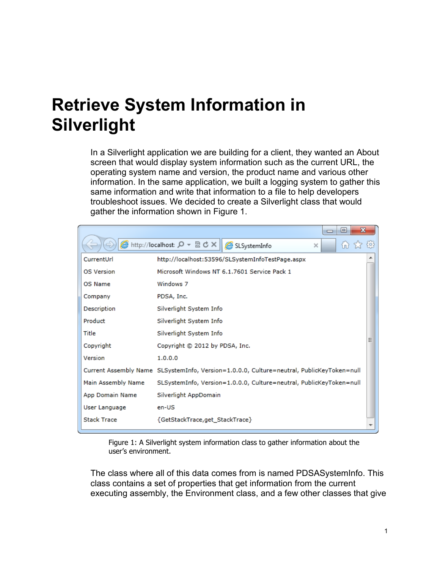# **Retrieve System Information in Silverlight**

In a Silverlight application we are building for a client, they wanted an About screen that would display system information such as the current URL, the operating system name and version, the product name and various other information. In the same application, we built a logging system to gather this same information and write that information to a file to help developers troubleshoot issues. We decided to create a Silverlight class that would gather the information shown in Figure 1.

|                    | x<br>▣<br>$\Box$                                                                          |  |  |  |  |  |
|--------------------|-------------------------------------------------------------------------------------------|--|--|--|--|--|
|                    | <b>②</b> http://localhost: Q ▼ 2 C X    <b>②</b> SLSystemInfo<br>íпì<br>$\times$          |  |  |  |  |  |
| CurrentUrl         | http://localhost:53596/SLSystemInfoTestPage.aspx                                          |  |  |  |  |  |
| OS Version         | Microsoft Windows NT 6.1.7601 Service Pack 1                                              |  |  |  |  |  |
| OS Name            | Windows 7                                                                                 |  |  |  |  |  |
| Company            | PDSA, Inc.                                                                                |  |  |  |  |  |
| Description        | Silverlight System Info                                                                   |  |  |  |  |  |
| Product            | Silverlight System Info                                                                   |  |  |  |  |  |
| Title              | Silverlight System Info                                                                   |  |  |  |  |  |
| Copyright          | Ξ<br>Copyright © 2012 by PDSA, Inc.                                                       |  |  |  |  |  |
| Version            | 1.0.0.0                                                                                   |  |  |  |  |  |
|                    | Current Assembly Name SLSystemInfo, Version=1.0.0.0, Culture=neutral, PublicKeyToken=null |  |  |  |  |  |
| Main Assembly Name | SLSystemInfo, Version=1.0.0.0, Culture=neutral, PublicKeyToken=null                       |  |  |  |  |  |
| App Domain Name    | Silverlight AppDomain                                                                     |  |  |  |  |  |
| User Language      | en-US                                                                                     |  |  |  |  |  |
| <b>Stack Trace</b> | {GetStackTrace,get_StackTrace}                                                            |  |  |  |  |  |

Figure 1: A Silverlight system information class to gather information about the user's environment.

The class where all of this data comes from is named PDSASystemInfo. This class contains a set of properties that get information from the current executing assembly, the Environment class, and a few other classes that give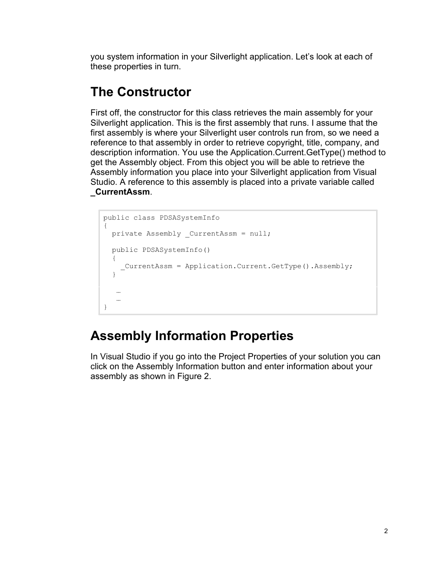you system information in your Silverlight application. Let's look at each of these properties in turn.

### **The Constructor**

First off, the constructor for this class retrieves the main assembly for your Silverlight application. This is the first assembly that runs. I assume that the first assembly is where your Silverlight user controls run from, so we need a reference to that assembly in order to retrieve copyright, title, company, and description information. You use the Application.Current.GetType() method to get the Assembly object. From this object you will be able to retrieve the Assembly information you place into your Silverlight application from Visual Studio. A reference to this assembly is placed into a private variable called **\_CurrentAssm**.

```
public class PDSASystemInfo
{
 private Assembly CurrentAssm = null;
 public PDSASystemInfo()
\{ _CurrentAssm = Application.Current.GetType().Assembly;
   }
    …
    …
}
```
## **Assembly Information Properties**

In Visual Studio if you go into the Project Properties of your solution you can click on the Assembly Information button and enter information about your assembly as shown in Figure 2.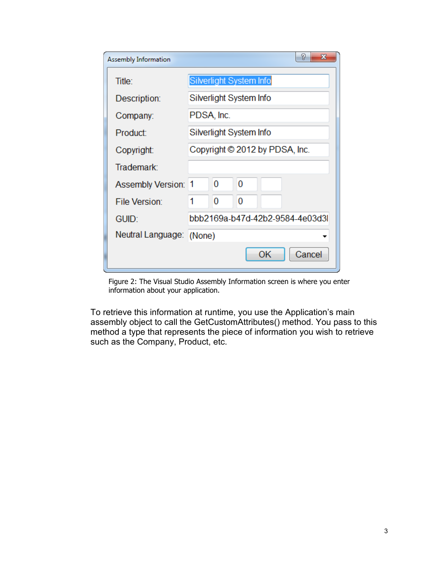| P<br>х<br><b>Assembly Information</b> |                                 |   |   |    |        |  |
|---------------------------------------|---------------------------------|---|---|----|--------|--|
| Title:                                | Silverlight System Info         |   |   |    |        |  |
| Description:                          | Silverlight System Info         |   |   |    |        |  |
| Company:                              | PDSA, Inc.                      |   |   |    |        |  |
| Product:                              | Silverlight System Info         |   |   |    |        |  |
| Copyright:                            | Copyright © 2012 by PDSA, Inc.  |   |   |    |        |  |
| Trademark:                            |                                 |   |   |    |        |  |
| <b>Assembly Version:</b>              | 1                               | 0 | 0 |    |        |  |
| <b>File Version:</b>                  |                                 | 0 | 0 |    |        |  |
| GUID:                                 | bbb2169a-b47d-42b2-9584-4e03d3l |   |   |    |        |  |
| Neutral Language: (None)              |                                 |   |   |    |        |  |
|                                       |                                 |   |   | OK | Cancel |  |

Figure 2: The Visual Studio Assembly Information screen is where you enter information about your application.

To retrieve this information at runtime, you use the Application's main assembly object to call the GetCustomAttributes() method. You pass to this method a type that represents the piece of information you wish to retrieve such as the Company, Product, etc.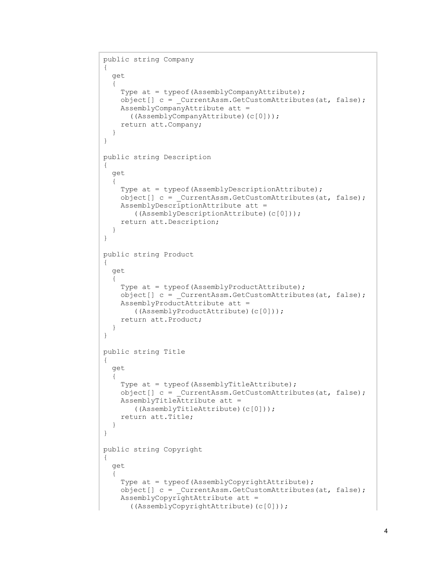```
public string Company
{
   get
  \left\{ \right. Type at = typeof(AssemblyCompanyAttribute);
    object [ c = CurrentAssm.GetCustomAttributes(at, false); AssemblyCompanyAttribute att = 
       ((AssemblyCompanyAttribute)(c[0]));
     return att.Company;
   }
}
public string Description
{
   get
\{ Type at = typeof(AssemblyDescriptionAttribute);
     object[] c = _CurrentAssm.GetCustomAttributes(at, false);
     AssemblyDescriptionAttribute att = 
        ((AssemblyDescriptionAttribute)(c[0]));
     return att.Description;
   }
}
public string Product
{
   get
   {
    Type at = typeof(AssemblyProductAttribute);
     object[] c = _CurrentAssm.GetCustomAttributes(at, false);
     AssemblyProductAttribute att = 
        ((AssemblyProductAttribute)(c[0]));
     return att.Product;
   }
}
public string Title
{
   get
   {
    Type at = typeof(AssemblyTitleAttribute);
    object[] c = CurrentAssm.GetCustomAttributes(at, false);
     AssemblyTitleAttribute att = 
        ((AssemblyTitleAttribute)(c[0]));
     return att.Title;
   }
}
public string Copyright
{
   get
   {
     Type at = typeof(AssemblyCopyrightAttribute);
    object[] c = CurrentAssm.GetCustomAttributes(at, false);
     AssemblyCopyrightAttribute att =
       ((AssemblyCopyrightAttribute)(c[0]));
```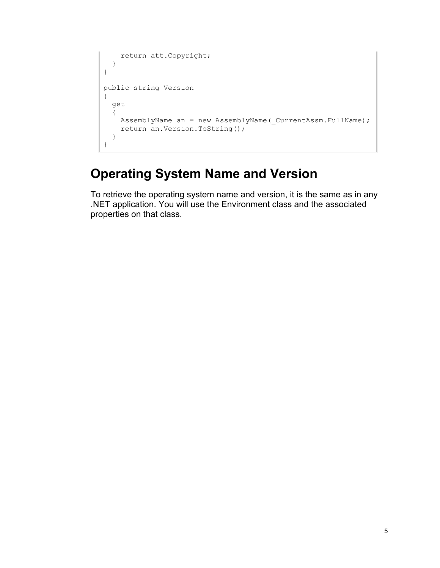```
 return att.Copyright;
   }
}
public string Version
{
   get
   {
   AssemblyName an = new AssemblyName ( CurrentAssm.FullName) ;
     return an.Version.ToString();
   }
}
```
### **Operating System Name and Version**

To retrieve the operating system name and version, it is the same as in any .NET application. You will use the Environment class and the associated properties on that class.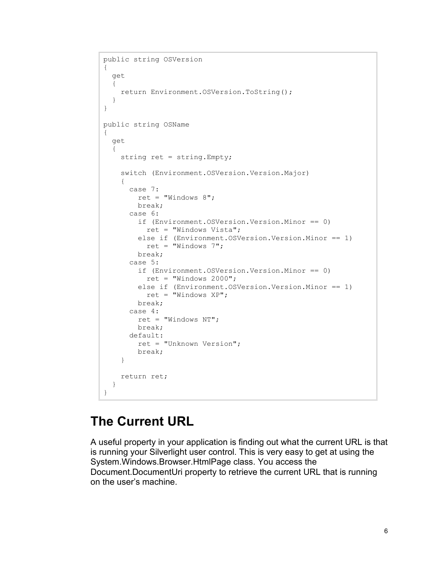```
public string OSVersion
{
   get
   {
     return Environment.OSVersion.ToString();
   }
}
public string OSName
{
   get
   {
     string ret = string.Empty;
     switch (Environment.OSVersion.Version.Major)
     {
       case 7:
        ret = "Windows 8"; break;
       case 6:
         if (Environment.OSVersion.Version.Minor == 0)
           ret = "Windows Vista";
         else if (Environment.OSVersion.Version.Minor == 1)
          ret = "Windows 7";
         break;
       case 5:
         if (Environment.OSVersion.Version.Minor == 0)
          ret = "Windows 2000"; else if (Environment.OSVersion.Version.Minor == 1)
          ret = "Windows XP";
         break;
       case 4:
         ret = "Windows NT";
         break;
       default:
         ret = "Unknown Version";
         break;
     }
     return ret;
   }
}
```
#### **The Current URL**

A useful property in your application is finding out what the current URL is that is running your Silverlight user control. This is very easy to get at using the System.Windows.Browser.HtmlPage class. You access the Document.DocumentUri property to retrieve the current URL that is running on the user's machine.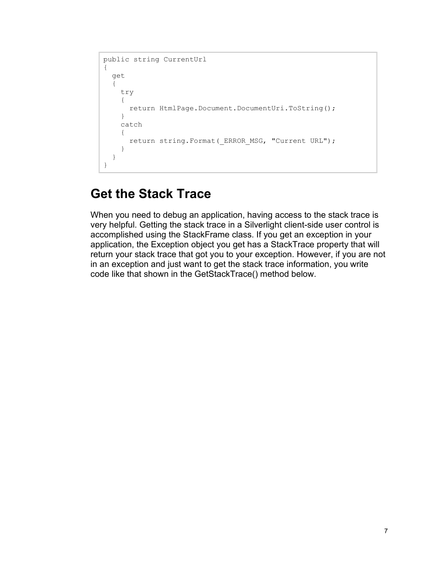```
public string CurrentUrl
{
   get
   {
     try
     {
       return HtmlPage.Document.DocumentUri.ToString();
     }
     catch
     {
      return string.Format( ERROR MSG, "Current URL");
     }
   }
}
```
#### **Get the Stack Trace**

When you need to debug an application, having access to the stack trace is very helpful. Getting the stack trace in a Silverlight client-side user control is accomplished using the StackFrame class. If you get an exception in your application, the Exception object you get has a StackTrace property that will return your stack trace that got you to your exception. However, if you are not in an exception and just want to get the stack trace information, you write code like that shown in the GetStackTrace() method below.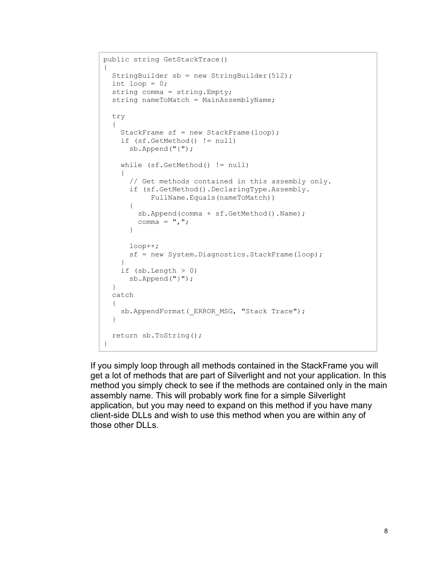```
public string GetStackTrace()
{
  StringBuilder sb = new StringBuilder(512);
 int loop = 0;
  string comma = string.Empty;
 string nameToMatch = MainAssemblyName;
  try
   {
    StackFrame sf = new StackFrame(loop);
    if (sf.GetMethod() != null)
      sb.Append("{");
     while (sf.GetMethod() != null)
     {
       // Get methods contained in this assembly only.
       if (sf.GetMethod().DeclaringType.Assembly.
            FullName.Equals(nameToMatch))
       {
         sb.Append(comma + sf.GetMethod().Name);
        comma = ", ";
       }
       loop++;
       sf = new System.Diagnostics.StackFrame(loop);
 }
    if (sb.length > 0) sb.Append("}");
   }
   catch
   {
    sb.AppendFormat( ERROR MSG, "Stack Trace");
   }
  return sb.ToString();
}
```
If you simply loop through all methods contained in the StackFrame you will get a lot of methods that are part of Silverlight and not your application. In this method you simply check to see if the methods are contained only in the main assembly name. This will probably work fine for a simple Silverlight application, but you may need to expand on this method if you have many client-side DLLs and wish to use this method when you are within any of those other DLLs.